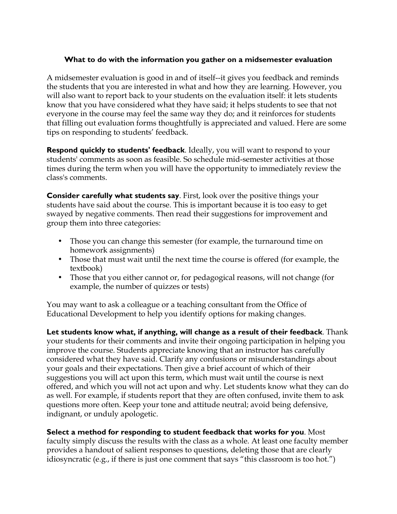## **What to do with the information you gather on a midsemester evaluation**

A midsemester evaluation is good in and of itself--it gives you feedback and reminds the students that you are interested in what and how they are learning. However, you will also want to report back to your students on the evaluation itself: it lets students know that you have considered what they have said; it helps students to see that not everyone in the course may feel the same way they do; and it reinforces for students that filling out evaluation forms thoughtfully is appreciated and valued. Here are some tips on responding to students' feedback.

**Respond quickly to students' feedback**. Ideally, you will want to respond to your students' comments as soon as feasible. So schedule mid-semester activities at those times during the term when you will have the opportunity to immediately review the class's comments.

**Consider carefully what students say**. First, look over the positive things your students have said about the course. This is important because it is too easy to get swayed by negative comments. Then read their suggestions for improvement and group them into three categories:

- Those you can change this semester (for example, the turnaround time on homework assignments)
- Those that must wait until the next time the course is offered (for example, the textbook)
- Those that you either cannot or, for pedagogical reasons, will not change (for example, the number of quizzes or tests)

You may want to ask a colleague or a teaching consultant from the Office of Educational Development to help you identify options for making changes.

**Let students know what, if anything, will change as a result of their feedback**. Thank your students for their comments and invite their ongoing participation in helping you improve the course. Students appreciate knowing that an instructor has carefully considered what they have said. Clarify any confusions or misunderstandings about your goals and their expectations. Then give a brief account of which of their suggestions you will act upon this term, which must wait until the course is next offered, and which you will not act upon and why. Let students know what they can do as well. For example, if students report that they are often confused, invite them to ask questions more often. Keep your tone and attitude neutral; avoid being defensive, indignant, or unduly apologetic.

## **Select a method for responding to student feedback that works for you**. Most

faculty simply discuss the results with the class as a whole. At least one faculty member provides a handout of salient responses to questions, deleting those that are clearly idiosyncratic (e.g., if there is just one comment that says "this classroom is too hot.")